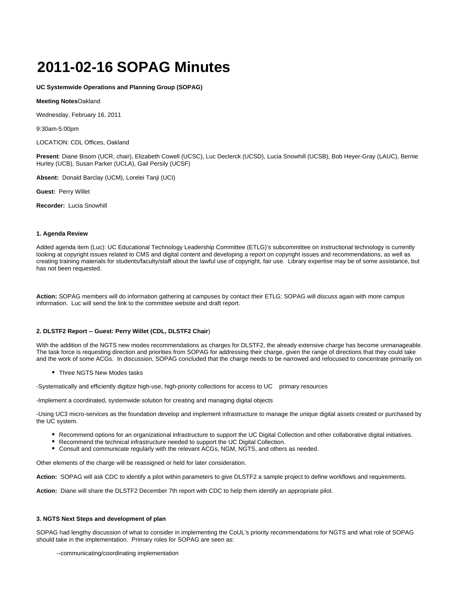# **2011-02-16 SOPAG Minutes**

**UC Systemwide Operations and Planning Group (SOPAG)**

**Meeting Notes**Oakland

Wednesday, February 16, 2011

9:30am-5:00pm

LOCATION: CDL Offices, Oakland

**Present**: Diane Bisom (UCR, chair), Elizabeth Cowell (UCSC), Luc Declerck (UCSD), Lucia Snowhill (UCSB), Bob Heyer-Gray (LAUC), Bernie Hurley (UCB), Susan Parker (UCLA), Gail Persily (UCSF)

**Absent:** Donald Barclay (UCM), Lorelei Tanji (UCI)

**Guest:** Perry Willet

**Recorder:** Lucia Snowhill

## **1. Agenda Review**

Added agenda item (Luc): UC Educational Technology Leadership Committee (ETLG)'s subcommittee on instructional technology is currently looking at copyright issues related to CMS and digital content and developing a report on copyright issues and recommendations, as well as creating training materials for students/faculty/staff about the lawful use of copyright, fair use. Library expertise may be of some assistance, but has not been requested.

**Action:** SOPAG members will do information gathering at campuses by contact their ETLG; SOPAG will discuss again with more campus information. Luc will send the link to the committee website and draft report.

# **2. DLSTF2 Report -- Guest: Perry Willet (CDL, DLSTF2 Chair**)

With the addition of the NGTS new modes recommendations as charges for DLSTF2, the already extensive charge has become unmanageable. The task force is requesting direction and priorities from SOPAG for addressing their charge, given the range of directions that they could take and the work of some ACGs. In discussion, SOPAG concluded that the charge needs to be narrowed and refocused to concentrate primarily on

• Three NGTS New Modes tasks

-Systematically and efficiently digitize high-use, high-priority collections for access to UC primary resources

-Implement a coordinated, systemwide solution for creating and managing digital objects

-Using UC3 micro-services as the foundation develop and implement infrastructure to manage the unique digital assets created or purchased by the UC system.

- Recommend options for an organizational infrastructure to support the UC Digital Collection and other collaborative digital initiatives.
- Recommend the technical infrastructure needed to support the UC Digital Collection.
- Consult and communicate regularly with the relevant ACGs, NGM, NGTS, and others as needed.

Other elements of the charge will be reassigned or held for later consideration.

**Action:** SOPAG will ask CDC to identify a pilot within parameters to give DLSTF2 a sample project to define workflows and requirements.

**Action:** Diane will share the DLSTF2 December 7th report with CDC to help them identify an appropriate pilot.

#### **3. NGTS Next Steps and development of plan**

SOPAG had lengthy discussion of what to consider in implementing the CoUL's priority recommendations for NGTS and what role of SOPAG should take in the implementation. Primary roles for SOPAG are seen as:

--communicating/coordinating implementation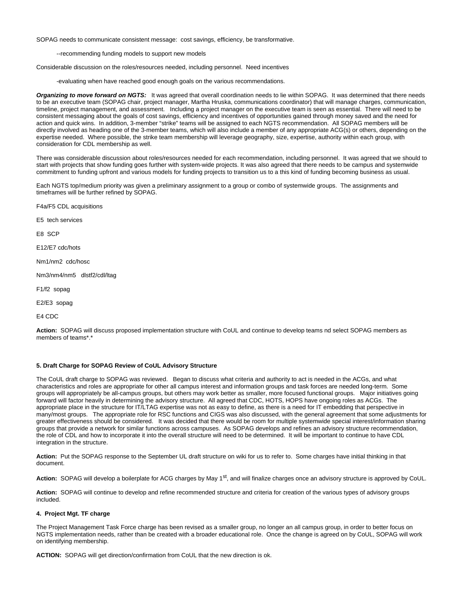SOPAG needs to communicate consistent message: cost savings, efficiency, be transformative.

--recommending funding models to support new models

Considerable discussion on the roles/resources needed, including personnel. Need incentives

-evaluating when have reached good enough goals on the various recommendations.

**Organizing to move forward on NGTS:** It was agreed that overall coordination needs to lie within SOPAG. It was determined that there needs to be an executive team (SOPAG chair, project manager, Martha Hruska, communications coordinator) that will manage charges, communication, timeline, project management, and assessment. Including a project manager on the executive team is seen as essential. There will need to be consistent messaging about the goals of cost savings, efficiency and incentives of opportunities gained through money saved and the need for action and quick wins. In addition, 3-member "strike" teams will be assigned to each NGTS recommendation. All SOPAG members will be directly involved as heading one of the 3-member teams, which will also include a member of any appropriate ACG(s) or others, depending on the expertise needed. Where possible, the strike team membership will leverage geography, size, expertise, authority within each group, with consideration for CDL membership as well.

There was considerable discussion about roles/resources needed for each recommendation, including personnel. It was agreed that we should to start with projects that show funding goes further with system-wide projects. It was also agreed that there needs to be campus and systemwide commitment to funding upfront and various models for funding projects to transition us to a this kind of funding becoming business as usual.

Each NGTS top/medium priority was given a preliminary assignment to a group or combo of systemwide groups. The assignments and timeframes will be further refined by SOPAG.

F4a/F5 CDL acquisitions

E5 tech services

E8 SCP

E12/E7 cdc/hots

Nm1/nm2 cdc/hosc

Nm3/nm4/nm5 dlstf2/cdl/ltag

F1/f2 sopag

E2/E3 sopag

E4 CDC

**Action:** SOPAG will discuss proposed implementation structure with CoUL and continue to develop teams nd select SOPAG members as members of teams\*.\*

### **5. Draft Charge for SOPAG Review of CoUL Advisory Structure**

The CoUL draft charge to SOPAG was reviewed. Began to discuss what criteria and authority to act is needed in the ACGs, and what characteristics and roles are appropriate for other all campus interest and information groups and task forces are needed long-term. Some groups will appropriately be all-campus groups, but others may work better as smaller, more focused functional groups. Major initiatives going forward will factor heavily in determining the advisory structure. All agreed that CDC, HOTS, HOPS have ongoing roles as ACGs. The appropriate place in the structure for IT/LTAG expertise was not as easy to define, as there is a need for IT embedding that perspective in many/most groups. The appropriate role for RSC functions and CIGS was also discussed, with the general agreement that some adjustments for greater effectiveness should be considered. It was decided that there would be room for multiple systemwide special interest/information sharing groups that provide a network for similar functions across campuses. As SOPAG develops and refines an advisory structure recommendation, the role of CDL and how to incorporate it into the overall structure will need to be determined. It will be important to continue to have CDL integration in the structure.

**Action:** Put the SOPAG response to the September UL draft structure on wiki for us to refer to. Some charges have initial thinking in that document.

Action: SOPAG will develop a boilerplate for ACG charges by May 1<sup>st</sup>, and will finalize charges once an advisory structure is approved by CoUL.

**Action:** SOPAG will continue to develop and refine recommended structure and criteria for creation of the various types of advisory groups included.

#### **4. Project Mgt. TF charge**

The Project Management Task Force charge has been revised as a smaller group, no longer an all campus group, in order to better focus on NGTS implementation needs, rather than be created with a broader educational role. Once the change is agreed on by CoUL, SOPAG will work on identifying membership.

**ACTION:** SOPAG will get direction/confirmation from CoUL that the new direction is ok.